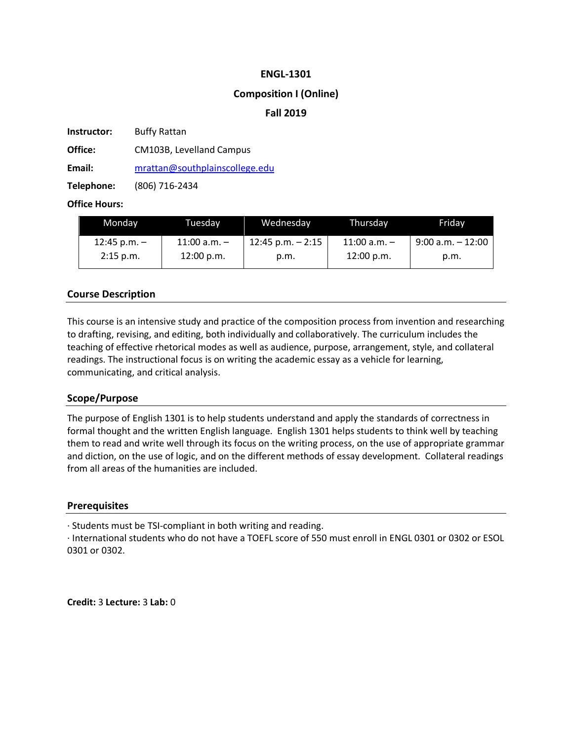#### **ENGL-1301**

### **Composition I (Online)**

### **Fall 2019**

**Instructor:** Buffy Rattan

**Office:** CM103B, Levelland Campus

**Email:** mrattan@southplainscollege.edu

**Telephone:** (806) 716-2434

### **Office Hours:**

| Monday         | Tuesdav          | Wednesday            | Thursdav         | Fridav               |
|----------------|------------------|----------------------|------------------|----------------------|
| 12:45 p.m. $-$ | $11:00$ a.m. $-$ | $12:45$ p.m. $-2:15$ | $11:00$ a.m. $-$ | $9:00$ a.m. $-12:00$ |
| $2:15$ p.m.    | 12:00 p.m.       | p.m.                 | 12:00 p.m.       | p.m.                 |

# **Course Description**

This course is an intensive study and practice of the composition process from invention and researching to drafting, revising, and editing, both individually and collaboratively. The curriculum includes the teaching of effective rhetorical modes as well as audience, purpose, arrangement, style, and collateral readings. The instructional focus is on writing the academic essay as a vehicle for learning, communicating, and critical analysis.

#### **Scope/Purpose**

The purpose of English 1301 is to help students understand and apply the standards of correctness in formal thought and the written English language. English 1301 helps students to think well by teaching them to read and write well through its focus on the writing process, on the use of appropriate grammar and diction, on the use of logic, and on the different methods of essay development. Collateral readings from all areas of the humanities are included.

#### **Prerequisites**

· Students must be TSI-compliant in both writing and reading.

· International students who do not have a TOEFL score of 550 must enroll in ENGL 0301 or 0302 or ESOL 0301 or 0302.

**Credit:** 3 **Lecture:** 3 **Lab:** 0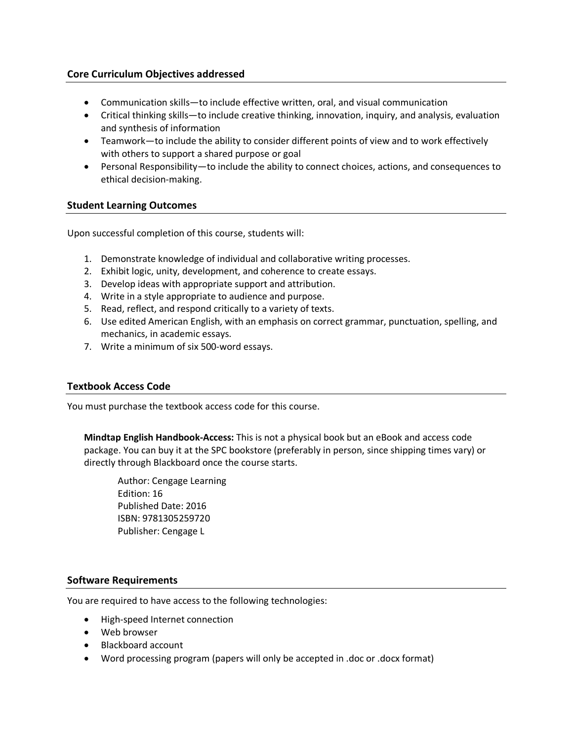## **Core Curriculum Objectives addressed**

- Communication skills—to include effective written, oral, and visual communication
- Critical thinking skills—to include creative thinking, innovation, inquiry, and analysis, evaluation and synthesis of information
- Teamwork—to include the ability to consider different points of view and to work effectively with others to support a shared purpose or goal
- Personal Responsibility—to include the ability to connect choices, actions, and consequences to ethical decision-making.

### **Student Learning Outcomes**

Upon successful completion of this course, students will:

- 1. Demonstrate knowledge of individual and collaborative writing processes.
- 2. Exhibit logic, unity, development, and coherence to create essays.
- 3. Develop ideas with appropriate support and attribution.
- 4. Write in a style appropriate to audience and purpose.
- 5. Read, reflect, and respond critically to a variety of texts.
- 6. Use edited American English, with an emphasis on correct grammar, punctuation, spelling, and mechanics, in academic essays.
- 7. Write a minimum of six 500-word essays.

### **Textbook Access Code**

You must purchase the textbook access code for this course.

**Mindtap English Handbook-Access:** This is not a physical book but an eBook and access code package. You can buy it at the SPC bookstore (preferably in person, since shipping times vary) or directly through Blackboard once the course starts.

Author: Cengage Learning Edition: 16 Published Date: 2016 ISBN: 9781305259720 Publisher: Cengage L

# **Software Requirements**

You are required to have access to the following technologies:

- High-speed Internet connection
- Web browser
- Blackboard account
- Word processing program (papers will only be accepted in .doc or .docx format)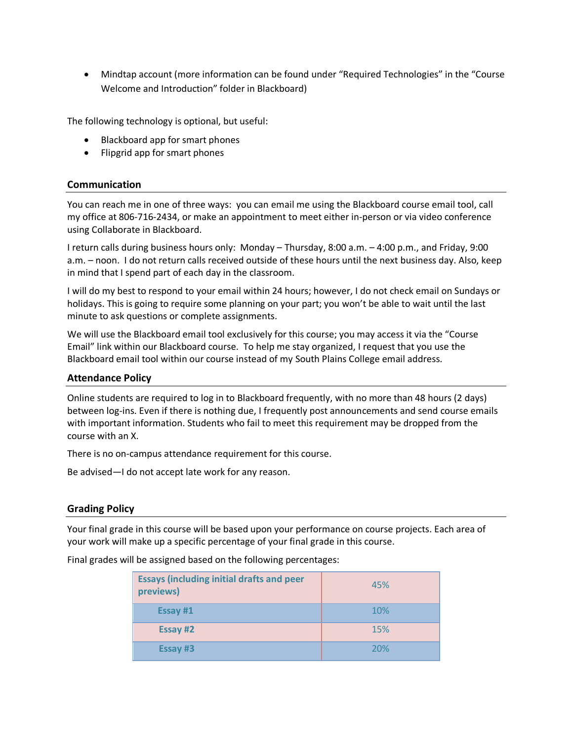• Mindtap account (more information can be found under "Required Technologies" in the "Course Welcome and Introduction" folder in Blackboard)

The following technology is optional, but useful:

- Blackboard app for smart phones
- Flipgrid app for smart phones

#### **Communication**

You can reach me in one of three ways: you can email me using the Blackboard course email tool, call my office at 806-716-2434, or make an appointment to meet either in-person or via video conference using Collaborate in Blackboard.

I return calls during business hours only: Monday – Thursday, 8:00 a.m. – 4:00 p.m., and Friday, 9:00 a.m. – noon. I do not return calls received outside of these hours until the next business day. Also, keep in mind that I spend part of each day in the classroom.

I will do my best to respond to your email within 24 hours; however, I do not check email on Sundays or holidays. This is going to require some planning on your part; you won't be able to wait until the last minute to ask questions or complete assignments.

We will use the Blackboard email tool exclusively for this course; you may access it via the "Course Email" link within our Blackboard course. To help me stay organized, I request that you use the Blackboard email tool within our course instead of my South Plains College email address.

#### **Attendance Policy**

Online students are required to log in to Blackboard frequently, with no more than 48 hours (2 days) between log-ins. Even if there is nothing due, I frequently post announcements and send course emails with important information. Students who fail to meet this requirement may be dropped from the course with an X.

There is no on-campus attendance requirement for this course.

Be advised—I do not accept late work for any reason.

# **Grading Policy**

Your final grade in this course will be based upon your performance on course projects. Each area of your work will make up a specific percentage of your final grade in this course.

Final grades will be assigned based on the following percentages:

| <b>Essays (including initial drafts and peer</b><br>previews) | 45% |
|---------------------------------------------------------------|-----|
| Essay #1                                                      | 10% |
| Essay #2                                                      | 15% |
| Essay #3                                                      | 20% |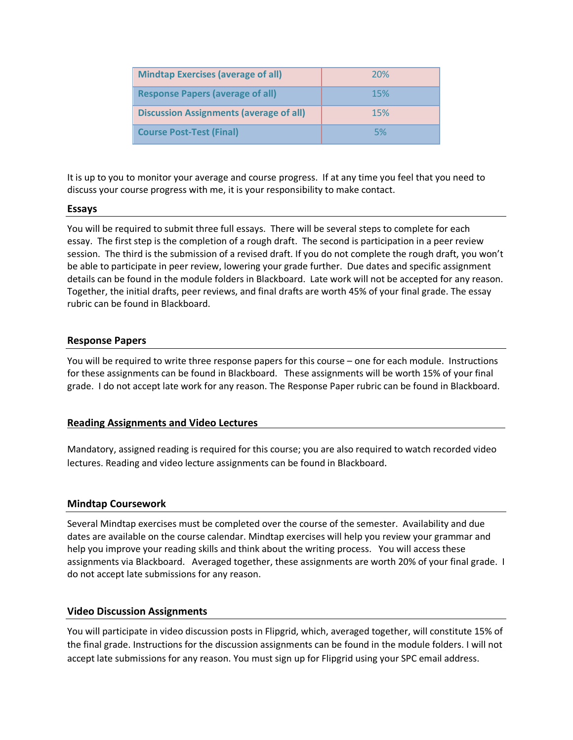| <b>Mindtap Exercises (average of all)</b>      | <b>20%</b> |
|------------------------------------------------|------------|
| <b>Response Papers (average of all)</b>        | 15%        |
| <b>Discussion Assignments (average of all)</b> | 15%        |
| <b>Course Post-Test (Final)</b>                | 5%         |

It is up to you to monitor your average and course progress. If at any time you feel that you need to discuss your course progress with me, it is your responsibility to make contact.

#### **Essays**

You will be required to submit three full essays. There will be several steps to complete for each essay. The first step is the completion of a rough draft. The second is participation in a peer review session. The third is the submission of a revised draft. If you do not complete the rough draft, you won't be able to participate in peer review, lowering your grade further. Due dates and specific assignment details can be found in the module folders in Blackboard. Late work will not be accepted for any reason. Together, the initial drafts, peer reviews, and final drafts are worth 45% of your final grade. The essay rubric can be found in Blackboard.

#### **Response Papers**

You will be required to write three response papers for this course – one for each module. Instructions for these assignments can be found in Blackboard. These assignments will be worth 15% of your final grade. I do not accept late work for any reason. The Response Paper rubric can be found in Blackboard.

#### **Reading Assignments and Video Lectures**

Mandatory, assigned reading is required for this course; you are also required to watch recorded video lectures. Reading and video lecture assignments can be found in Blackboard.

#### **Mindtap Coursework**

Several Mindtap exercises must be completed over the course of the semester. Availability and due dates are available on the course calendar. Mindtap exercises will help you review your grammar and help you improve your reading skills and think about the writing process. You will access these assignments via Blackboard. Averaged together, these assignments are worth 20% of your final grade. I do not accept late submissions for any reason.

#### **Video Discussion Assignments**

You will participate in video discussion posts in Flipgrid, which, averaged together, will constitute 15% of the final grade. Instructions for the discussion assignments can be found in the module folders. I will not accept late submissions for any reason. You must sign up for Flipgrid using your SPC email address.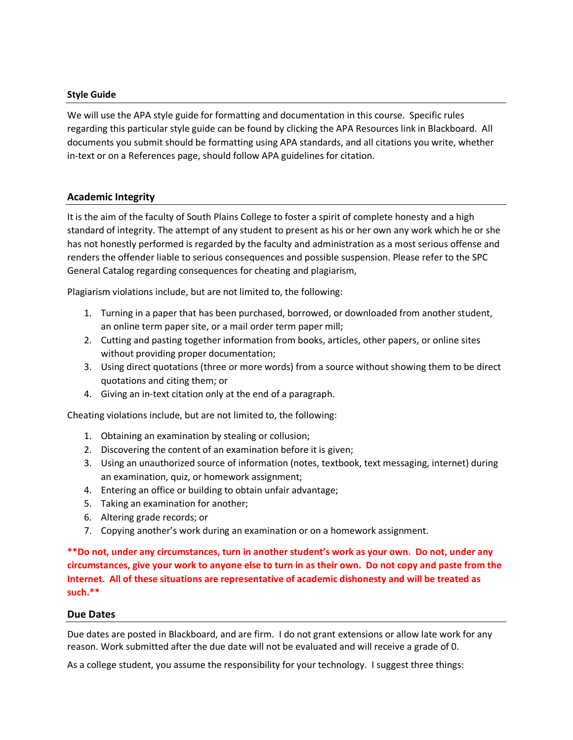#### **Style Guide**

We will use the APA style guide for formatting and documentation in this course. Specific rules regarding this particular style guide can be found by clicking the APA Resources link in Blackboard. All documents you submit should be formatting using APA standards, and all citations you write, whether in-text or on a References page, should follow APA guidelines for citation.

### **Academic Integrity**

It is the aim of the faculty of South Plains College to foster a spirit of complete honesty and a high standard of integrity. The attempt of any student to present as his or her own any work which he or she has not honestly performed is regarded by the faculty and administration as a most serious offense and renders the offender liable to serious consequences and possible suspension. Please refer to the SPC General Catalog regarding consequences for cheating and plagiarism,

Plagiarism violations include, but are not limited to, the following:

- 1. Turning in a paper that has been purchased, borrowed, or downloaded from another student, an online term paper site, or a mail order term paper mill;
- 2. Cutting and pasting together information from books, articles, other papers, or online sites without providing proper documentation;
- 3. Using direct quotations (three or more words) from a source without showing them to be direct quotations and citing them; or
- 4. Giving an in-text citation only at the end of a paragraph.

Cheating violations include, but are not limited to, the following:

- 1. Obtaining an examination by stealing or collusion;
- 2. Discovering the content of an examination before it is given;
- 3. Using an unauthorized source of information (notes, textbook, text messaging, internet) during an examination, quiz, or homework assignment;
- 4. Entering an office or building to obtain unfair advantage;
- 5. Taking an examination for another;
- 6. Altering grade records; or
- 7. Copying another's work during an examination or on a homework assignment.

**\*\*Do not, under any circumstances, turn in another student's work as your own. Do not, under any circumstances, give your work to anyone else to turn in as their own. Do not copy and paste from the Internet. All of these situations are representative of academic dishonesty and will be treated as such.\*\***

#### **Due Dates**

Due dates are posted in Blackboard, and are firm. I do not grant extensions or allow late work for any reason. Work submitted after the due date will not be evaluated and will receive a grade of 0.

As a college student, you assume the responsibility for your technology. I suggest three things: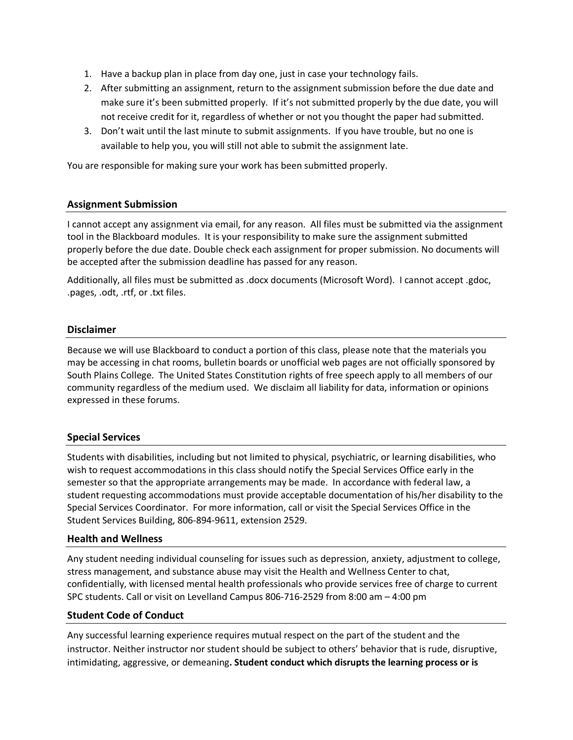- 1. Have a backup plan in place from day one, just in case your technology fails.
- 2. After submitting an assignment, return to the assignment submission before the due date and make sure it's been submitted properly. If it's not submitted properly by the due date, you will not receive credit for it, regardless of whether or not you thought the paper had submitted.
- 3. Don't wait until the last minute to submit assignments. If you have trouble, but no one is available to help you, you will still not able to submit the assignment late.

You are responsible for making sure your work has been submitted properly.

### **Assignment Submission**

I cannot accept any assignment via email, for any reason. All files must be submitted via the assignment tool in the Blackboard modules. It is your responsibility to make sure the assignment submitted properly before the due date. Double check each assignment for proper submission. No documents will be accepted after the submission deadline has passed for any reason.

Additionally, all files must be submitted as .docx documents (Microsoft Word). I cannot accept .gdoc, .pages, .odt, .rtf, or .txt files.

### **Disclaimer**

Because we will use Blackboard to conduct a portion of this class, please note that the materials you may be accessing in chat rooms, bulletin boards or unofficial web pages are not officially sponsored by South Plains College. The United States Constitution rights of free speech apply to all members of our community regardless of the medium used. We disclaim all liability for data, information or opinions expressed in these forums.

# **Special Services**

Students with disabilities, including but not limited to physical, psychiatric, or learning disabilities, who wish to request accommodations in this class should notify the Special Services Office early in the semester so that the appropriate arrangements may be made. In accordance with federal law, a student requesting accommodations must provide acceptable documentation of his/her disability to the Special Services Coordinator. For more information, call or visit the Special Services Office in the Student Services Building, 806-894-9611, extension 2529.

#### **Health and Wellness**

Any student needing individual counseling for issues such as depression, anxiety, adjustment to college, stress management, and substance abuse may visit the Health and Wellness Center to chat, confidentially, with licensed mental health professionals who provide services free of charge to current SPC students. Call or visit on Levelland Campus 806-716-2529 from 8:00 am – 4:00 pm

#### **Student Code of Conduct**

Any successful learning experience requires mutual respect on the part of the student and the instructor. Neither instructor nor student should be subject to others' behavior that is rude, disruptive, intimidating, aggressive, or demeaning**. Student conduct which disrupts the learning process or is**